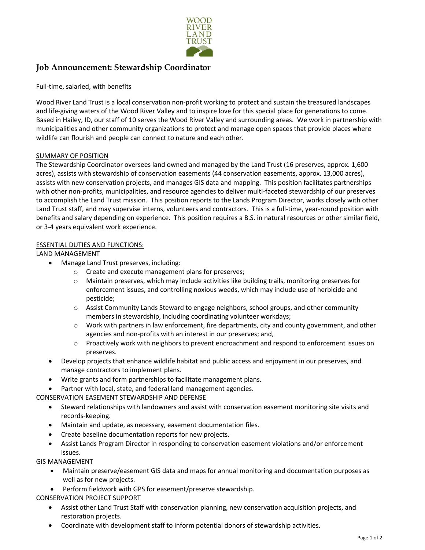

# **Job Announcement: Stewardship Coordinator**

Full-time, salaried, with benefits

Wood River Land Trust is a local conservation non-profit working to protect and sustain the treasured landscapes and life-giving waters of the Wood River Valley and to inspire love for this special place for generations to come. Based in Hailey, ID, our staff of 10 serves the Wood River Valley and surrounding areas. We work in partnership with municipalities and other community organizations to protect and manage open spaces that provide places where wildlife can flourish and people can connect to nature and each other.

## SUMMARY OF POSITION

The Stewardship Coordinator oversees land owned and managed by the Land Trust (16 preserves, approx. 1,600 acres), assists with stewardship of conservation easements (44 conservation easements, approx. 13,000 acres), assists with new conservation projects, and manages GIS data and mapping. This position facilitates partnerships with other non-profits, municipalities, and resource agencies to deliver multi-faceted stewardship of our preserves to accomplish the Land Trust mission. This position reports to the Lands Program Director, works closely with other Land Trust staff, and may supervise interns, volunteers and contractors. This is a full-time, year-round position with benefits and salary depending on experience. This position requires a B.S. in natural resources or other similar field, or 3-4 years equivalent work experience.

## ESSENTIAL DUTIES AND FUNCTIONS:

LAND MANAGEMENT

- Manage Land Trust preserves, including:
	- o Create and execute management plans for preserves;
	- o Maintain preserves, which may include activities like building trails, monitoring preserves for enforcement issues, and controlling noxious weeds, which may include use of herbicide and pesticide;
	- $\circ$  Assist Community Lands Steward to engage neighbors, school groups, and other community members in stewardship, including coordinating volunteer workdays;
	- $\circ$  Work with partners in law enforcement, fire departments, city and county government, and other agencies and non-profits with an interest in our preserves; and,
	- o Proactively work with neighbors to prevent encroachment and respond to enforcement issues on preserves.
- Develop projects that enhance wildlife habitat and public access and enjoyment in our preserves, and manage contractors to implement plans.
- Write grants and form partnerships to facilitate management plans.
- Partner with local, state, and federal land management agencies.

CONSERVATION EASEMENT STEWARDSHIP AND DEFENSE

- Steward relationships with landowners and assist with conservation easement monitoring site visits and records-keeping.
- Maintain and update, as necessary, easement documentation files.
- Create baseline documentation reports for new projects.
- Assist Lands Program Director in responding to conservation easement violations and/or enforcement issues.

GIS MANAGEMENT

- Maintain preserve/easement GIS data and maps for annual monitoring and documentation purposes as well as for new projects.
- Perform fieldwork with GPS for easement/preserve stewardship.

CONSERVATION PROJECT SUPPORT

- Assist other Land Trust Staff with conservation planning, new conservation acquisition projects, and restoration projects.
- Coordinate with development staff to inform potential donors of stewardship activities.